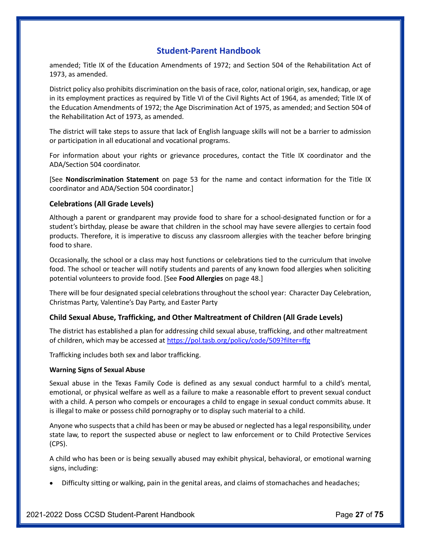amended; Title IX of the Education Amendments of 1972; and Section 504 of the Rehabilitation Act of 1973, as amended.

District policy also prohibits discrimination on the basis of race, color, national origin, sex, handicap, or age in its employment practices as required by Title VI of the Civil Rights Act of 1964, as amended; Title IX of the Education Amendments of 1972; the Age Discrimination Act of 1975, as amended; and Section 504 of the Rehabilitation Act of 1973, as amended.

The district will take steps to assure that lack of English language skills will not be a barrier to admission or participation in all educational and vocational programs.

For information about your rights or grievance procedures, contact the Title IX coordinator and the ADA/Section 504 coordinator.

[See Nondiscrimination Statement on page 53 for the name and contact information for the Title IX coordinator and ADA/Section 504 coordinator.]

# Celebrations (All Grade Levels)

Although a parent or grandparent may provide food to share for a school-designated function or for a student's birthday, please be aware that children in the school may have severe allergies to certain food products. Therefore, it is imperative to discuss any classroom allergies with the teacher before bringing food to share.

Occasionally, the school or a class may host functions or celebrations tied to the curriculum that involve food. The school or teacher will notify students and parents of any known food allergies when soliciting potential volunteers to provide food. [See Food Allergies on page 48.]

There will be four designated special celebrations throughout the school year: Character Day Celebration, Christmas Party, Valentine's Day Party, and Easter Party

# Child Sexual Abuse, Trafficking, and Other Maltreatment of Children (All Grade Levels)

The district has established a plan for addressing child sexual abuse, trafficking, and other maltreatment of children, which may be accessed at https://pol.tasb.org/policy/code/509?filter=ffg

Trafficking includes both sex and labor trafficking.

## Warning Signs of Sexual Abuse

Sexual abuse in the Texas Family Code is defined as any sexual conduct harmful to a child's mental, emotional, or physical welfare as well as a failure to make a reasonable effort to prevent sexual conduct with a child. A person who compels or encourages a child to engage in sexual conduct commits abuse. It is illegal to make or possess child pornography or to display such material to a child.

Anyone who suspects that a child has been or may be abused or neglected has a legal responsibility, under state law, to report the suspected abuse or neglect to law enforcement or to Child Protective Services (CPS).

A child who has been or is being sexually abused may exhibit physical, behavioral, or emotional warning signs, including:

Difficulty sitting or walking, pain in the genital areas, and claims of stomachaches and headaches;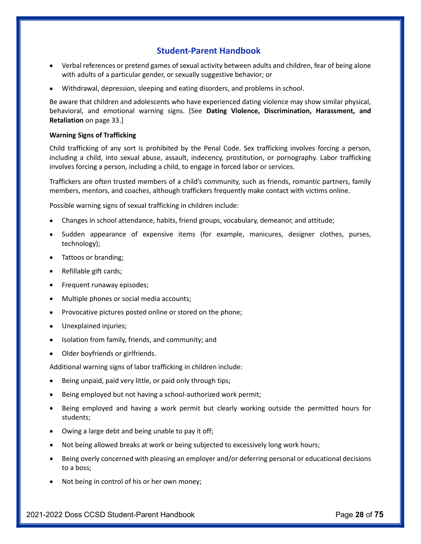- Verbal references or pretend games of sexual activity between adults and children, fear of being alone  $\bullet$ with adults of a particular gender, or sexually suggestive behavior; or
- Withdrawal, depression, sleeping and eating disorders, and problems in school.

Be aware that children and adolescents who have experienced dating violence may show similar physical, behavioral, and emotional warning signs. [See Dating Violence, Discrimination, Harassment, and Retaliation on page 33.]

## Warning Signs of Trafficking

Child trafficking of any sort is prohibited by the Penal Code. Sex trafficking involves forcing a person, including a child, into sexual abuse, assault, indecency, prostitution, or pornography. Labor trafficking involves forcing a person, including a child, to engage in forced labor or services.

Traffickers are often trusted members of a child's community, such as friends, romantic partners, family members, mentors, and coaches, although traffickers frequently make contact with victims online.

Possible warning signs of sexual trafficking in children include:

- Changes in school attendance, habits, friend groups, vocabulary, demeanor, and attitude;
- Sudden appearance of expensive items (for example, manicures, designer clothes, purses, technology);
- Tattoos or branding;
- Refillable gift cards;
- Frequent runaway episodes;
- Multiple phones or social media accounts;
- Provocative pictures posted online or stored on the phone;
- Unexplained injuries;
- Isolation from family, friends, and community; and
- Older boyfriends or girlfriends.  $\bullet$

Additional warning signs of labor trafficking in children include:

- Being unpaid, paid very little, or paid only through tips;
- Being employed but not having a school-authorized work permit;
- Being employed and having a work permit but clearly working outside the permitted hours for students;
- Owing a large debt and being unable to pay it off;
- Not being allowed breaks at work or being subjected to excessively long work hours;
- Being overly concerned with pleasing an employer and/or deferring personal or educational decisions to a boss;
- Not being in control of his or her own money;

2021-2022 Doss CCSD Student-Parent Handbook Page 28 of 75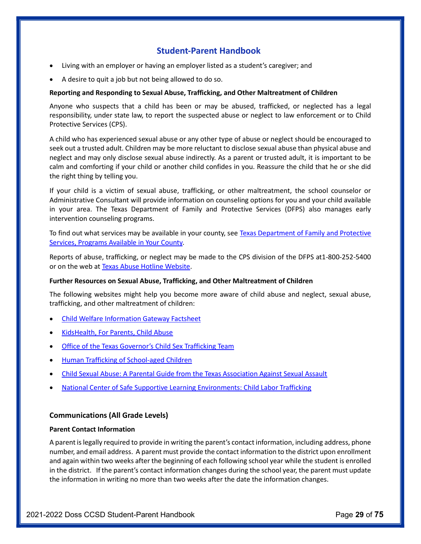- Living with an employer or having an employer listed as a student's caregiver; and
- A desire to quit a job but not being allowed to do so.

## Reporting and Responding to Sexual Abuse, Trafficking, and Other Maltreatment of Children

Anyone who suspects that a child has been or may be abused, trafficked, or neglected has a legal responsibility, under state law, to report the suspected abuse or neglect to law enforcement or to Child Protective Services (CPS).

A child who has experienced sexual abuse or any other type of abuse or neglect should be encouraged to seek out a trusted adult. Children may be more reluctant to disclose sexual abuse than physical abuse and neglect and may only disclose sexual abuse indirectly. As a parent or trusted adult, it is important to be calm and comforting if your child or another child confides in you. Reassure the child that he or she did the right thing by telling you.

If your child is a victim of sexual abuse, trafficking, or other maltreatment, the school counselor or Administrative Consultant will provide information on counseling options for you and your child available in your area. The Texas Department of Family and Protective Services (DFPS) also manages early intervention counseling programs.

To find out what services may be available in your county, see Texas Department of Family and Protective Services, Programs Available in Your County.

Reports of abuse, trafficking, or neglect may be made to the CPS division of the DFPS at1-800-252-5400 or on the web at Texas Abuse Hotline Website.

## Further Resources on Sexual Abuse, Trafficking, and Other Maltreatment of Children

The following websites might help you become more aware of child abuse and neglect, sexual abuse, trafficking, and other maltreatment of children:

- Child Welfare Information Gateway Factsheet
- KidsHealth, For Parents, Child Abuse
- Office of the Texas Governor's Child Sex Trafficking Team
- Human Trafficking of School-aged Children
- Child Sexual Abuse: A Parental Guide from the Texas Association Against Sexual Assault
- National Center of Safe Supportive Learning Environments: Child Labor Trafficking

# Communications (All Grade Levels)

## Parent Contact Information

A parent is legally required to provide in writing the parent's contact information, including address, phone number, and email address. A parent must provide the contact information to the district upon enrollment and again within two weeks after the beginning of each following school year while the student is enrolled in the district. If the parent's contact information changes during the school year, the parent must update the information in writing no more than two weeks after the date the information changes.